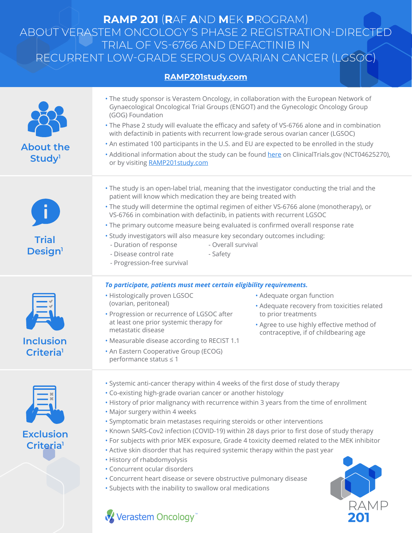## **RAMP 201** (**R**AF **A**ND **M**EK **P**ROGRAM) ABOUT VERASTEM ONCOLOGY'S PHASE 2 REGISTRATION-DIRECTED TRIAL OF VS-6766 AND DEFACTINIB IN RECURRENT LOW-GRADE SEROUS OVARIAN CANCER (LGSOC)

## **[RAMP201study.com](https://ramp201study.com/)**

| <b>About the</b><br>Study <sup>1</sup>    | . The study sponsor is Verastem Oncology, in collaboration with the European Network of<br>Gynaecological Oncological Trial Groups (ENGOT) and the Gynecologic Oncology Group<br>(GOG) Foundation<br>• The Phase 2 study will evaluate the efficacy and safety of VS-6766 alone and in combination<br>with defactinib in patients with recurrent low-grade serous ovarian cancer (LGSOC)<br>. An estimated 100 participants in the U.S. and EU are expected to be enrolled in the study<br>• Additional information about the study can be found here on ClinicalTrials.gov (NCT04625270),<br>or by visiting RAMP201study.com                                                                                                                                                                                                                 |                                                                                                                                                                                       |
|-------------------------------------------|-----------------------------------------------------------------------------------------------------------------------------------------------------------------------------------------------------------------------------------------------------------------------------------------------------------------------------------------------------------------------------------------------------------------------------------------------------------------------------------------------------------------------------------------------------------------------------------------------------------------------------------------------------------------------------------------------------------------------------------------------------------------------------------------------------------------------------------------------|---------------------------------------------------------------------------------------------------------------------------------------------------------------------------------------|
| <b>Trial</b><br>Design <sup>1</sup>       | . The study is an open-label trial, meaning that the investigator conducting the trial and the<br>patient will know which medication they are being treated with<br>• The study will determine the optimal regimen of either VS-6766 alone (monotherapy), or<br>VS-6766 in combination with defactinib, in patients with recurrent LGSOC<br>. The primary outcome measure being evaluated is confirmed overall response rate<br>· Study investigators will also measure key secondary outcomes including:<br>- Duration of response<br>- Overall survival<br>- Disease control rate<br>- Safety<br>- Progression-free survival                                                                                                                                                                                                                |                                                                                                                                                                                       |
| <b>Inclusion</b><br><b>Criteria</b>       | To participate, patients must meet certain eligibility requirements.<br>• Histologically proven LGSOC<br>(ovarian, peritoneal)<br>• Progression or recurrence of LGSOC after<br>at least one prior systemic therapy for<br>metastatic disease<br>• Measurable disease according to RECIST 1.1<br>• An Eastern Cooperative Group (ECOG)<br>performance status ≤ 1                                                                                                                                                                                                                                                                                                                                                                                                                                                                              | • Adequate organ function<br>• Adequate recovery from toxicities related<br>to prior treatments<br>. Agree to use highly effective method of<br>contraceptive, if of childbearing age |
| <b>Exclusion</b><br>Criteria <sup>1</sup> | · Systemic anti-cancer therapy within 4 weeks of the first dose of study therapy<br>• Co-existing high-grade ovarian cancer or another histology<br>. History of prior malignancy with recurrence within 3 years from the time of enrollment<br>. Major surgery within 4 weeks<br>· Symptomatic brain metastases requiring steroids or other interventions<br>. Known SARS-Cov2 infection (COVID-19) within 28 days prior to first dose of study therapy<br>• For subjects with prior MEK exposure, Grade 4 toxicity deemed related to the MEK inhibitor<br>. Active skin disorder that has required systemic therapy within the past year<br>• History of rhabdomyolysis<br>• Concurrent ocular disorders<br>• Concurrent heart disease or severe obstructive pulmonary disease<br>· Subjects with the inability to swallow oral medications |                                                                                                                                                                                       |

201

## Verastem Oncology